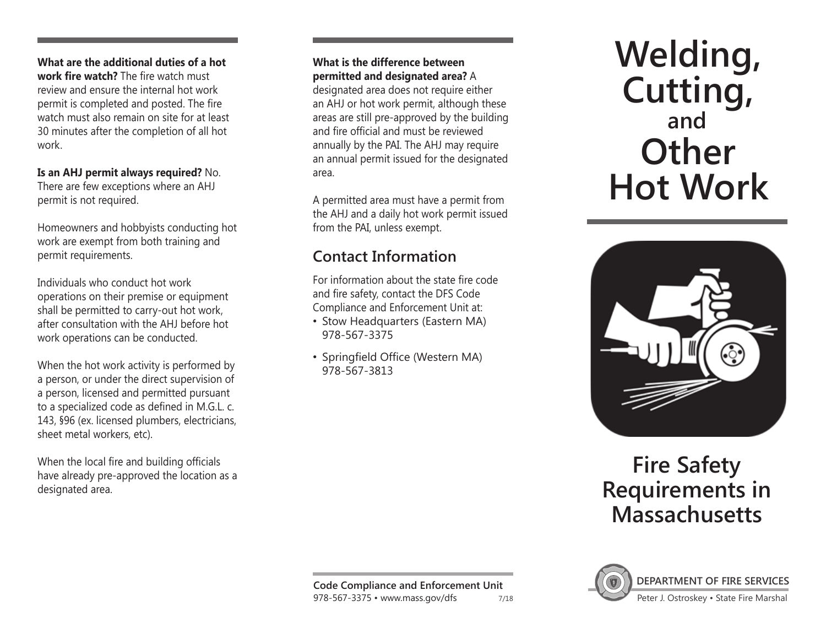**What are the additional duties of a hot work fire watch?** The fire watch must review and ensure the internal hot work permit is completed and posted. The fire watch must also remain on site for at least 30 minutes after the completion of all hot work.

**Is an AHJ permit always required?** No. There are few exceptions where an AHJ permit is not required.

Homeowners and hobbyists conducting hot work are exempt from both training and permit requirements.

Individuals who conduct hot work operations on their premise or equipment shall be permitted to carry-out hot work, after consultation with the AHJ before hot work operations can be conducted.

When the hot work activity is performed by a person, or under the direct supervision of a person, licensed and permitted pursuant to a specialized code as defined in M.G.L. c. 143, §96 (ex. licensed plumbers, electricians, sheet metal workers, etc).

When the local fire and building officials have already pre-approved the location as a designated area.

#### **What is the difference between permitted and designated area?** A

designated area does not require either an AHJ or hot work permit, although these areas are still pre-approved by the building and fire official and must be reviewed annually by the PAI. The AHJ may require an annual permit issued for the designated area.

A permitted area must have a permit from the AHJ and a daily hot work permit issued from the PAI, unless exempt.

# **Contact Information**

For information about the state fire code and fire safety, contact the DFS Code Compliance and Enforcement Unit at:

- Stow Headquarters (Eastern MA) 978-567-3375
- Springfield Office (Western MA) 978-567-3813

# **and Other Hot Work Welding, Cutting,**



# **Fire Safety Requirements in Massachusetts**